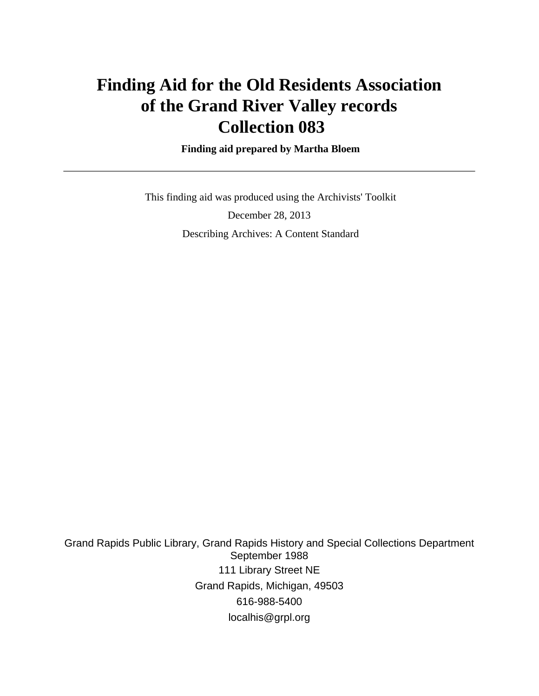## **Finding Aid for the Old Residents Association of the Grand River Valley records Collection 083**

 **Finding aid prepared by Martha Bloem**

 This finding aid was produced using the Archivists' Toolkit December 28, 2013 Describing Archives: A Content Standard

Grand Rapids Public Library, Grand Rapids History and Special Collections Department September 1988 111 Library Street NE Grand Rapids, Michigan, 49503 616-988-5400 localhis@grpl.org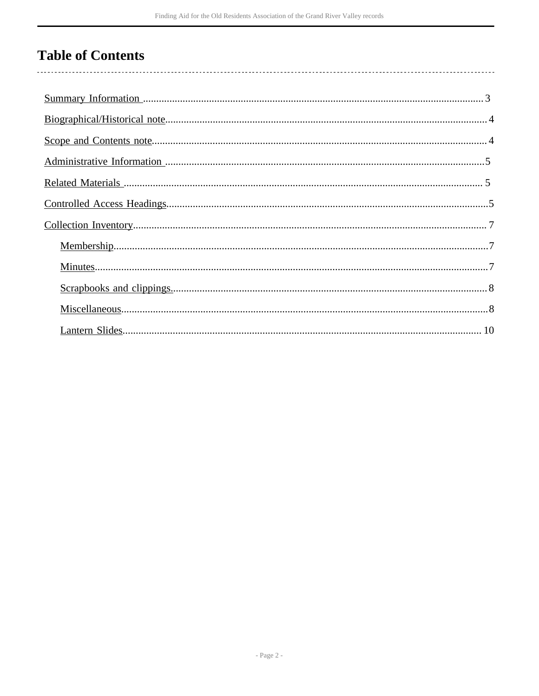## **Table of Contents**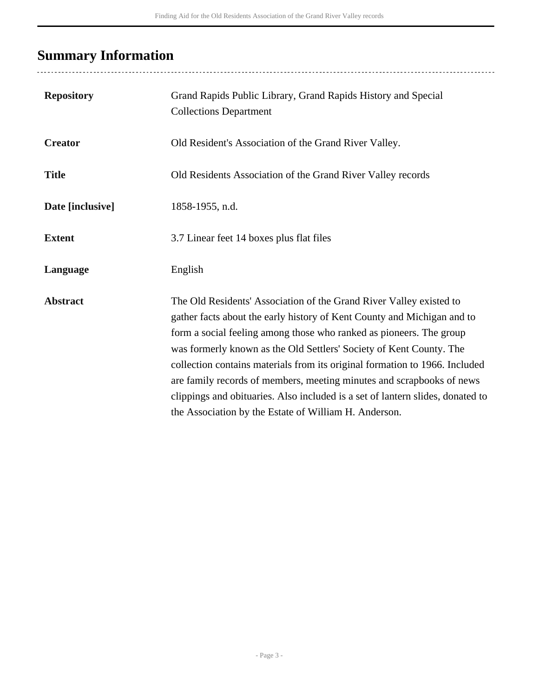## <span id="page-2-0"></span>**Summary Information**

| <b>Repository</b> | Grand Rapids Public Library, Grand Rapids History and Special<br><b>Collections Department</b>                                                                                                                                                                                                                                                                                                                                                                                                                                                                                                  |
|-------------------|-------------------------------------------------------------------------------------------------------------------------------------------------------------------------------------------------------------------------------------------------------------------------------------------------------------------------------------------------------------------------------------------------------------------------------------------------------------------------------------------------------------------------------------------------------------------------------------------------|
| <b>Creator</b>    | Old Resident's Association of the Grand River Valley.                                                                                                                                                                                                                                                                                                                                                                                                                                                                                                                                           |
| <b>Title</b>      | Old Residents Association of the Grand River Valley records                                                                                                                                                                                                                                                                                                                                                                                                                                                                                                                                     |
| Date [inclusive]  | 1858-1955, n.d.                                                                                                                                                                                                                                                                                                                                                                                                                                                                                                                                                                                 |
| <b>Extent</b>     | 3.7 Linear feet 14 boxes plus flat files                                                                                                                                                                                                                                                                                                                                                                                                                                                                                                                                                        |
| Language          | English                                                                                                                                                                                                                                                                                                                                                                                                                                                                                                                                                                                         |
| <b>Abstract</b>   | The Old Residents' Association of the Grand River Valley existed to<br>gather facts about the early history of Kent County and Michigan and to<br>form a social feeling among those who ranked as pioneers. The group<br>was formerly known as the Old Settlers' Society of Kent County. The<br>collection contains materials from its original formation to 1966. Included<br>are family records of members, meeting minutes and scrapbooks of news<br>clippings and obituaries. Also included is a set of lantern slides, donated to<br>the Association by the Estate of William H. Anderson. |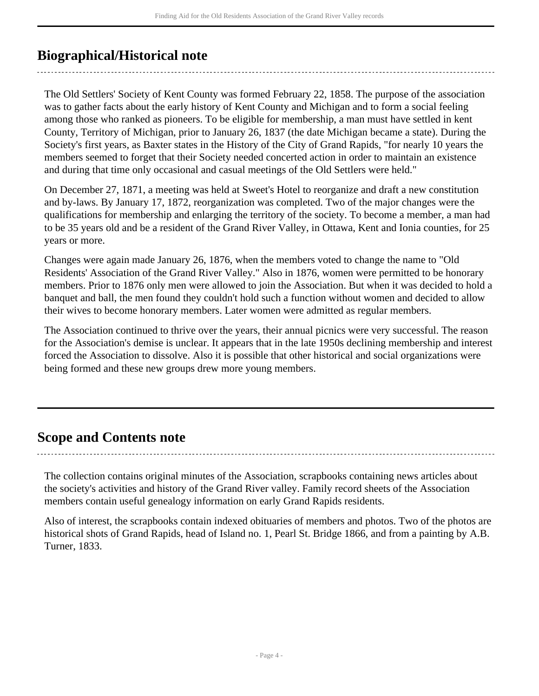## <span id="page-3-0"></span>**Biographical/Historical note**

The Old Settlers' Society of Kent County was formed February 22, 1858. The purpose of the association was to gather facts about the early history of Kent County and Michigan and to form a social feeling among those who ranked as pioneers. To be eligible for membership, a man must have settled in kent County, Territory of Michigan, prior to January 26, 1837 (the date Michigan became a state). During the Society's first years, as Baxter states in the History of the City of Grand Rapids, "for nearly 10 years the members seemed to forget that their Society needed concerted action in order to maintain an existence and during that time only occasional and casual meetings of the Old Settlers were held."

On December 27, 1871, a meeting was held at Sweet's Hotel to reorganize and draft a new constitution and by-laws. By January 17, 1872, reorganization was completed. Two of the major changes were the qualifications for membership and enlarging the territory of the society. To become a member, a man had to be 35 years old and be a resident of the Grand River Valley, in Ottawa, Kent and Ionia counties, for 25 years or more.

Changes were again made January 26, 1876, when the members voted to change the name to "Old Residents' Association of the Grand River Valley." Also in 1876, women were permitted to be honorary members. Prior to 1876 only men were allowed to join the Association. But when it was decided to hold a banquet and ball, the men found they couldn't hold such a function without women and decided to allow their wives to become honorary members. Later women were admitted as regular members.

The Association continued to thrive over the years, their annual picnics were very successful. The reason for the Association's demise is unclear. It appears that in the late 1950s declining membership and interest forced the Association to dissolve. Also it is possible that other historical and social organizations were being formed and these new groups drew more young members.

### <span id="page-3-1"></span>**Scope and Contents note**

The collection contains original minutes of the Association, scrapbooks containing news articles about the society's activities and history of the Grand River valley. Family record sheets of the Association members contain useful genealogy information on early Grand Rapids residents.

Also of interest, the scrapbooks contain indexed obituaries of members and photos. Two of the photos are historical shots of Grand Rapids, head of Island no. 1, Pearl St. Bridge 1866, and from a painting by A.B. Turner, 1833.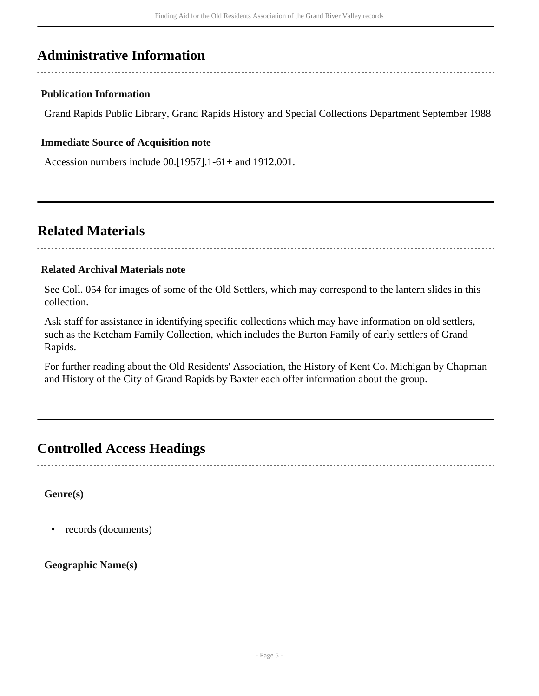## <span id="page-4-0"></span>**Administrative Information**

#### **Publication Information**

Grand Rapids Public Library, Grand Rapids History and Special Collections Department September 1988

#### **Immediate Source of Acquisition note**

Accession numbers include 00.[1957].1-61+ and 1912.001.

### <span id="page-4-1"></span>**Related Materials**

#### **Related Archival Materials note**

See Coll. 054 for images of some of the Old Settlers, which may correspond to the lantern slides in this collection.

Ask staff for assistance in identifying specific collections which may have information on old settlers, such as the Ketcham Family Collection, which includes the Burton Family of early settlers of Grand Rapids.

For further reading about the Old Residents' Association, the History of Kent Co. Michigan by Chapman and History of the City of Grand Rapids by Baxter each offer information about the group.

### <span id="page-4-2"></span>**Controlled Access Headings**

**Genre(s)**

• records (documents)

**Geographic Name(s)**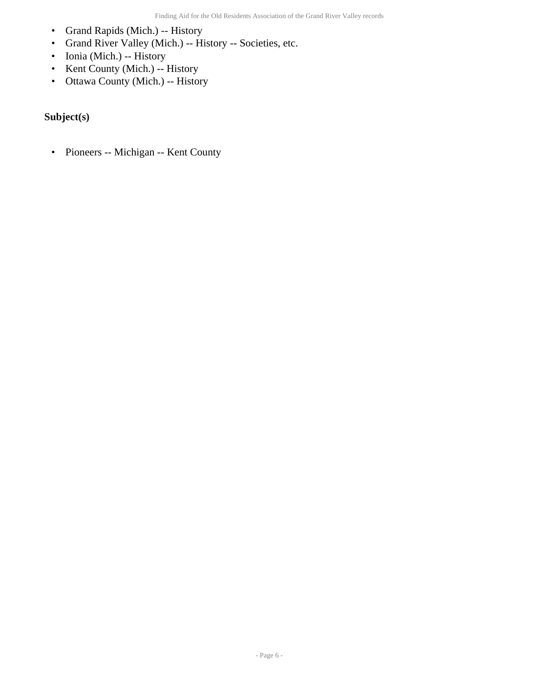- Grand Rapids (Mich.) -- History
- Grand River Valley (Mich.) -- History -- Societies, etc.
- Ionia (Mich.) -- History
- Kent County (Mich.) -- History
- Ottawa County (Mich.) -- History

### **Subject(s)**

• Pioneers -- Michigan -- Kent County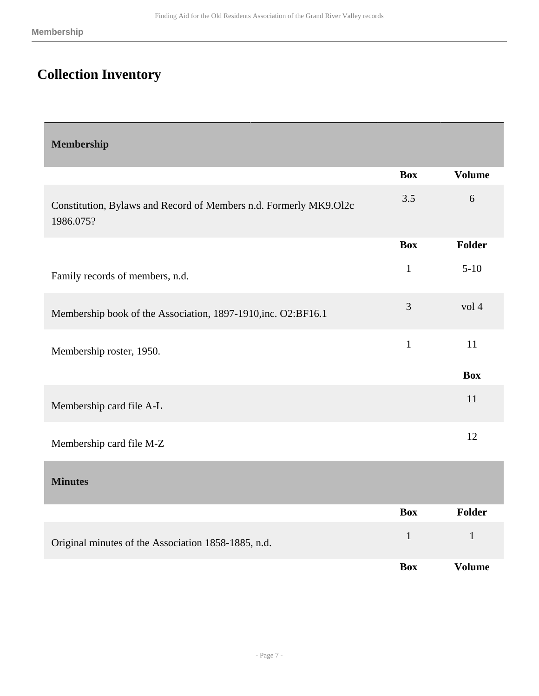## <span id="page-6-0"></span>**Collection Inventory**

<span id="page-6-2"></span><span id="page-6-1"></span>

| <b>Membership</b>                                                              |              |               |
|--------------------------------------------------------------------------------|--------------|---------------|
|                                                                                | <b>Box</b>   | <b>Volume</b> |
| Constitution, Bylaws and Record of Members n.d. Formerly MK9.012c<br>1986.075? | 3.5          | 6             |
|                                                                                | <b>Box</b>   | <b>Folder</b> |
| Family records of members, n.d.                                                | $\mathbf{1}$ | $5-10$        |
| Membership book of the Association, 1897-1910, inc. O2:BF16.1                  | 3            | vol 4         |
| Membership roster, 1950.                                                       | $\mathbf{1}$ | 11            |
|                                                                                |              | <b>Box</b>    |
| Membership card file A-L                                                       |              | 11            |
| Membership card file M-Z                                                       |              | 12            |
| <b>Minutes</b>                                                                 |              |               |
|                                                                                | <b>Box</b>   | <b>Folder</b> |
| Original minutes of the Association 1858-1885, n.d.                            | $\mathbf{1}$ | $\mathbf{1}$  |
|                                                                                | <b>Box</b>   | <b>Volume</b> |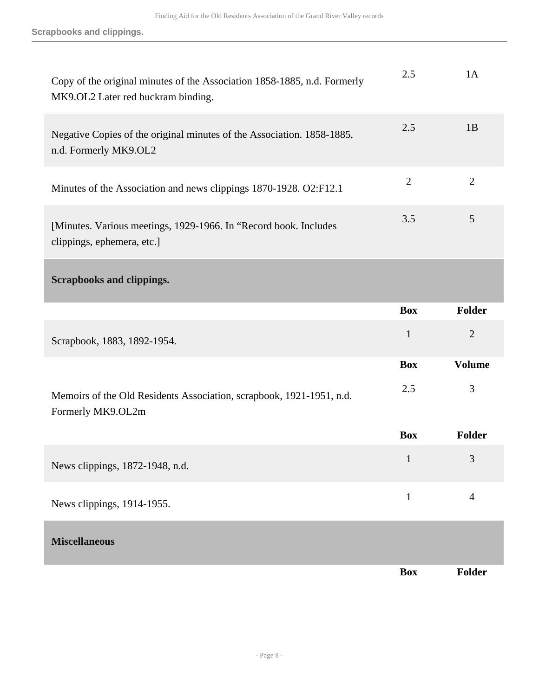**Scrapbooks and clippings.**

<span id="page-7-1"></span><span id="page-7-0"></span>

| Copy of the original minutes of the Association 1858-1885, n.d. Formerly<br>MK9.OL2 Later red buckram binding. | 2.5            | 1A             |
|----------------------------------------------------------------------------------------------------------------|----------------|----------------|
| Negative Copies of the original minutes of the Association. 1858-1885,<br>n.d. Formerly MK9.OL2                | 2.5            | 1B             |
| Minutes of the Association and news clippings 1870-1928. O2:F12.1                                              | $\overline{2}$ | $\overline{2}$ |
| [Minutes. Various meetings, 1929-1966. In "Record book. Includes<br>clippings, ephemera, etc.]                 | 3.5            | 5              |
| <b>Scrapbooks and clippings.</b>                                                                               |                |                |
|                                                                                                                | <b>Box</b>     | Folder         |
| Scrapbook, 1883, 1892-1954.                                                                                    | $\mathbf{1}$   | $\overline{2}$ |
|                                                                                                                | <b>Box</b>     | <b>Volume</b>  |
| Memoirs of the Old Residents Association, scrapbook, 1921-1951, n.d.<br>Formerly MK9.OL2m                      | 2.5            | 3              |
|                                                                                                                | <b>Box</b>     | Folder         |
| News clippings, 1872-1948, n.d.                                                                                | $\mathbf{1}$   | 3              |
| News clippings, 1914-1955.                                                                                     | $\mathbf{1}$   | $\overline{4}$ |
| <b>Miscellaneous</b>                                                                                           |                |                |
|                                                                                                                | <b>Box</b>     | <b>Folder</b>  |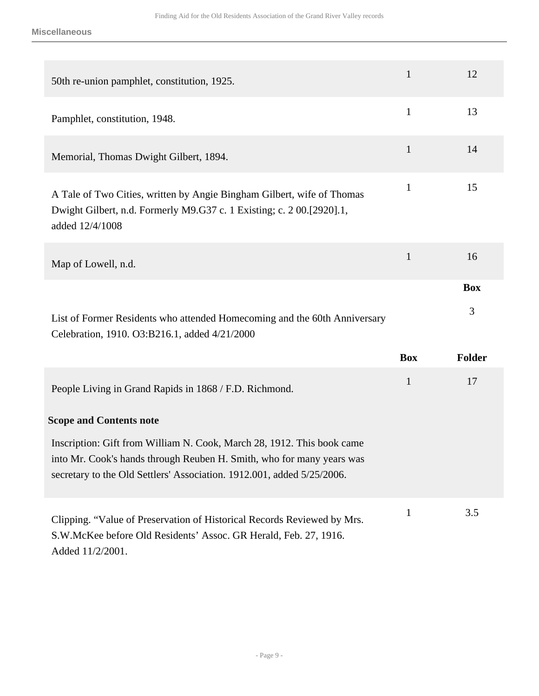**Miscellaneous**

| 50th re-union pamphlet, constitution, 1925.                                                                                                                                                                               | $\mathbf{1}$ | 12                        |
|---------------------------------------------------------------------------------------------------------------------------------------------------------------------------------------------------------------------------|--------------|---------------------------|
| Pamphlet, constitution, 1948.                                                                                                                                                                                             | $\mathbf{1}$ | 13                        |
| Memorial, Thomas Dwight Gilbert, 1894.                                                                                                                                                                                    | $\mathbf{1}$ | 14                        |
| A Tale of Two Cities, written by Angie Bingham Gilbert, wife of Thomas<br>Dwight Gilbert, n.d. Formerly M9.G37 c. 1 Existing; c. 2 00.[2920].1,<br>added 12/4/1008                                                        | $\mathbf{1}$ | 15                        |
| Map of Lowell, n.d.                                                                                                                                                                                                       | $\mathbf{1}$ | 16                        |
| List of Former Residents who attended Homecoming and the 60th Anniversary<br>Celebration, 1910. O3:B216.1, added 4/21/2000                                                                                                | <b>Box</b>   | <b>Box</b><br>3<br>Folder |
| People Living in Grand Rapids in 1868 / F.D. Richmond.                                                                                                                                                                    | $\mathbf{1}$ | 17                        |
| <b>Scope and Contents note</b>                                                                                                                                                                                            |              |                           |
| Inscription: Gift from William N. Cook, March 28, 1912. This book came<br>into Mr. Cook's hands through Reuben H. Smith, who for many years was<br>secretary to the Old Settlers' Association. 1912.001, added 5/25/2006. |              |                           |
| Clipping. "Value of Preservation of Historical Records Reviewed by Mrs.<br>S.W.McKee before Old Residents' Assoc. GR Herald, Feb. 27, 1916.<br>Added 11/2/2001.                                                           | $\mathbf{1}$ | 3.5                       |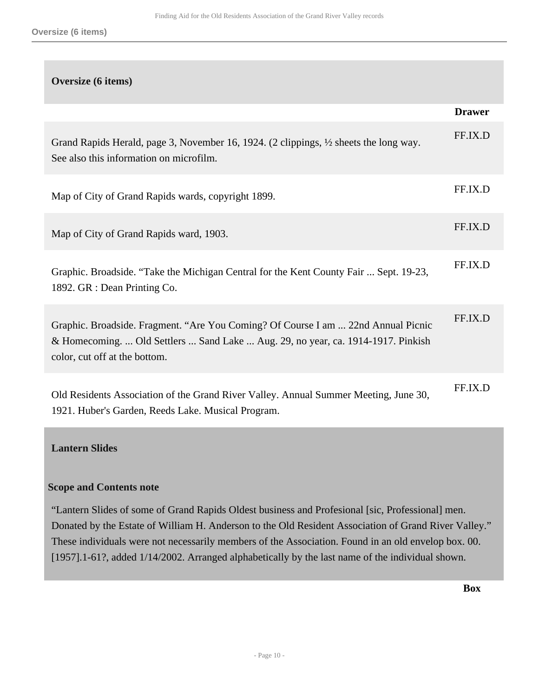# **Oversize (6 items) Drawer** Grand Rapids Herald, page 3, November 16, 1924. (2 clippings, ½ sheets the long way. See also this information on microfilm. FF.IX.D Map of City of Grand Rapids wards, copyright 1899. Map of City of Grand Rapids ward, 1903. FF.IX.D Graphic. Broadside. "Take the Michigan Central for the Kent County Fair ... Sept. 19-23, 1892. GR : Dean Printing Co. FF.IX.D Graphic. Broadside. Fragment. "Are You Coming? Of Course I am ... 22nd Annual Picnic & Homecoming. ... Old Settlers ... Sand Lake ... Aug. 29, no year, ca. 1914-1917. Pinkish color, cut off at the bottom. FF.IX.D Old Residents Association of the Grand River Valley. Annual Summer Meeting, June 30, 1921. Huber's Garden, Reeds Lake. Musical Program. FF.IX.D

#### <span id="page-9-0"></span>**Lantern Slides**

#### **Scope and Contents note**

"Lantern Slides of some of Grand Rapids Oldest business and Profesional [sic, Professional] men. Donated by the Estate of William H. Anderson to the Old Resident Association of Grand River Valley." These individuals were not necessarily members of the Association. Found in an old envelop box. 00. [1957].1-61?, added 1/14/2002. Arranged alphabetically by the last name of the individual shown.

**Box**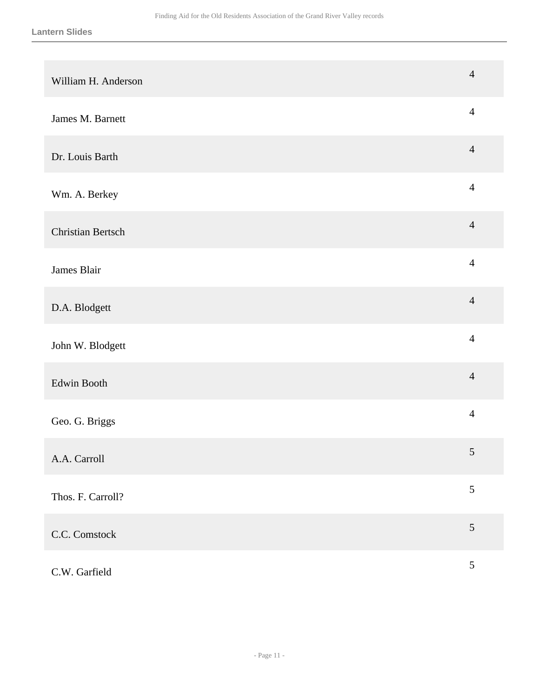| William H. Anderson      | $\overline{4}$ |
|--------------------------|----------------|
| James M. Barnett         | $\overline{4}$ |
| Dr. Louis Barth          | $\overline{4}$ |
| Wm. A. Berkey            | $\overline{4}$ |
| <b>Christian Bertsch</b> | $\overline{4}$ |
| James Blair              | $\overline{4}$ |
| D.A. Blodgett            | $\overline{4}$ |
| John W. Blodgett         | $\overline{4}$ |
| Edwin Booth              | $\overline{4}$ |
| Geo. G. Briggs           | $\overline{4}$ |
| A.A. Carroll             | 5              |
| Thos. F. Carroll?        | $\mathfrak{S}$ |
| C.C. Comstock            | $\mathfrak{S}$ |
| C.W. Garfield            | $\sqrt{5}$     |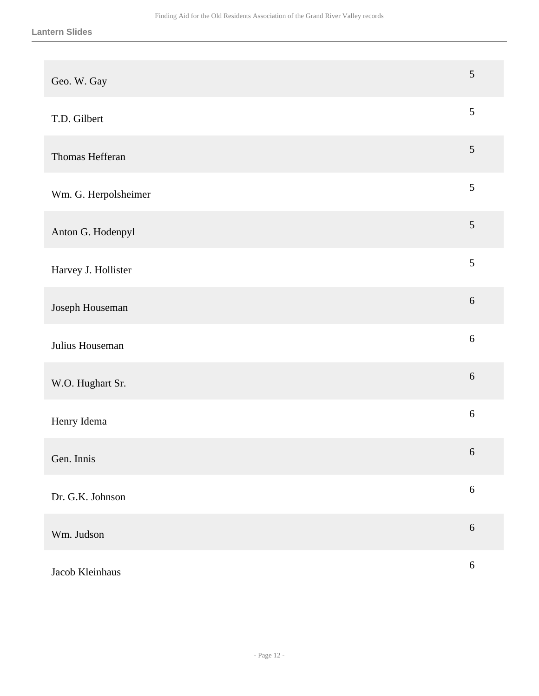| Geo. W. Gay          | 5              |
|----------------------|----------------|
| T.D. Gilbert         | $\mathfrak{S}$ |
| Thomas Hefferan      | $\mathfrak{S}$ |
| Wm. G. Herpolsheimer | $\mathfrak{S}$ |
| Anton G. Hodenpyl    | $\sqrt{5}$     |
| Harvey J. Hollister  | $\mathfrak{S}$ |
| Joseph Houseman      | $6\,$          |
| Julius Houseman      | $6\,$          |
| W.O. Hughart Sr.     | $6\,$          |
| Henry Idema          | $\sqrt{6}$     |
| Gen. Innis           | $\sqrt{6}$     |
| Dr. G.K. Johnson     | $\sqrt{6}$     |
| Wm. Judson           | $\sqrt{6}$     |
| Jacob Kleinhaus      | $\sqrt{6}$     |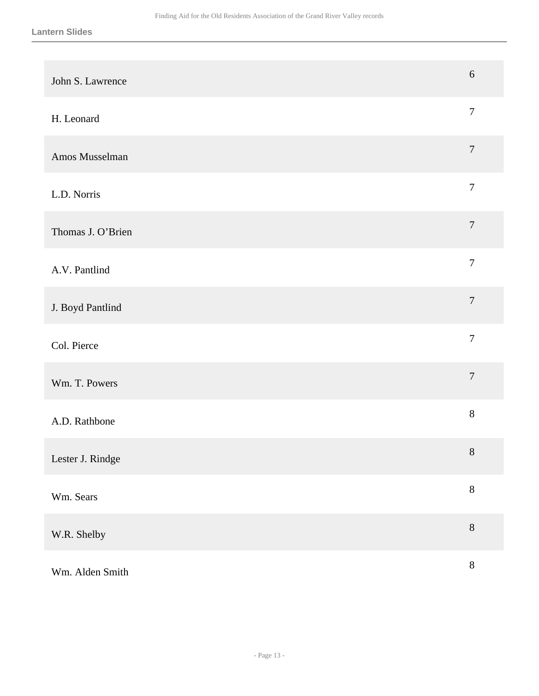| John S. Lawrence  | $6\,$            |
|-------------------|------------------|
| H. Leonard        | $\boldsymbol{7}$ |
| Amos Musselman    | $\overline{7}$   |
| L.D. Norris       | $\boldsymbol{7}$ |
| Thomas J. O'Brien | $\boldsymbol{7}$ |
| A.V. Pantlind     | $\boldsymbol{7}$ |
| J. Boyd Pantlind  | $\boldsymbol{7}$ |
| Col. Pierce       | $\overline{7}$   |
| Wm. T. Powers     | $\overline{7}$   |
| A.D. Rathbone     | $8\,$            |
| Lester J. Rindge  | $8\,$            |
| Wm. Sears         | $8\,$            |
| W.R. Shelby       | $8\,$            |
| Wm. Alden Smith   | $8\,$            |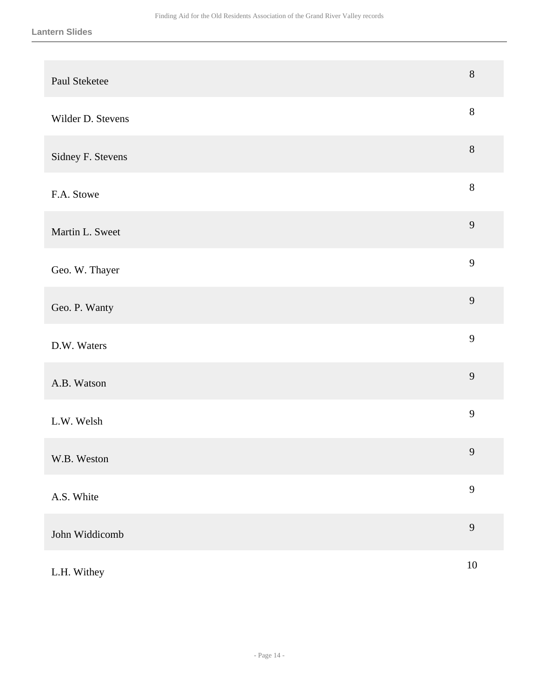| Paul Steketee     | $\, 8$         |
|-------------------|----------------|
| Wilder D. Stevens | $8\,$          |
| Sidney F. Stevens | $\, 8$         |
| F.A. Stowe        | $8\,$          |
| Martin L. Sweet   | 9              |
| Geo. W. Thayer    | 9              |
| Geo. P. Wanty     | 9              |
| D.W. Waters       | $\mathbf{9}$   |
| A.B. Watson       | 9              |
| L.W. Welsh        | 9              |
| W.B. Weston       | $\overline{9}$ |
| A.S. White        | 9              |
| John Widdicomb    | 9              |
| L.H. Withey       | $10\,$         |